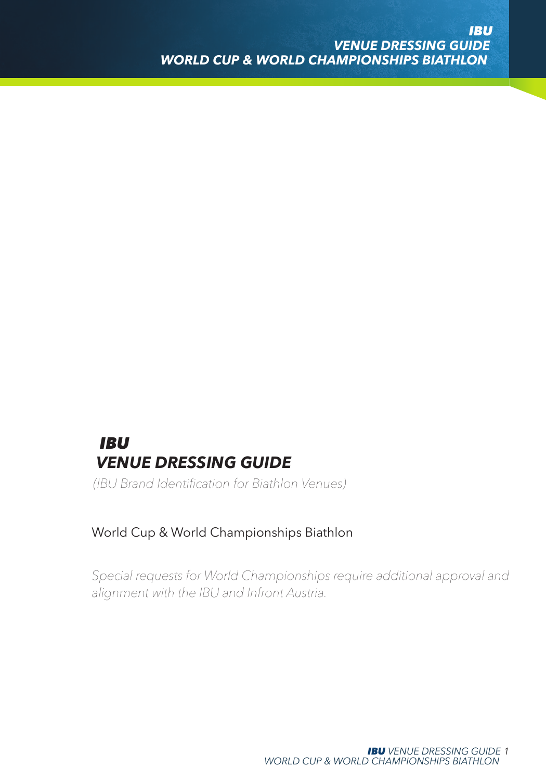# *IBU VENUE DRESSING GUIDE*

*(IBU Brand Identification for Biathlon Venues)*

### World Cup & World Championships Biathlon

*Special requests for World Championships require additional approval and alignment with the IBU and Infront Austria.*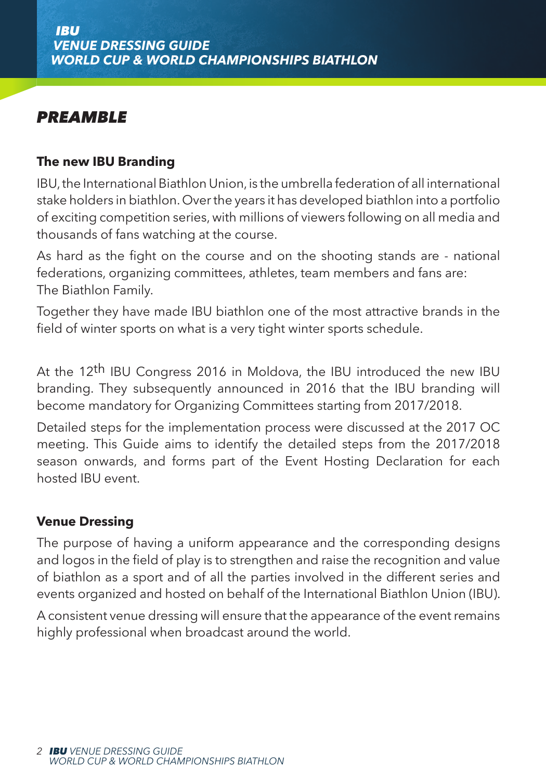# *PREAMBLE*

### **The new IBU Branding**

IBU, the International Biathlon Union, is the umbrella federation of all international stake holders in biathlon. Over the years it has developed biathlon into a portfolio of exciting competition series, with millions of viewers following on all media and thousands of fans watching at the course.

As hard as the fight on the course and on the shooting stands are - national federations, organizing committees, athletes, team members and fans are: The Biathlon Family.

Together they have made IBU biathlon one of the most attractive brands in the field of winter sports on what is a very tight winter sports schedule.

At the 12th IBU Congress 2016 in Moldova, the IBU introduced the new IBU branding. They subsequently announced in 2016 that the IBU branding will become mandatory for Organizing Committees starting from 2017/2018.

Detailed steps for the implementation process were discussed at the 2017 OC meeting. This Guide aims to identify the detailed steps from the 2017/2018 season onwards, and forms part of the Event Hosting Declaration for each hosted IBU event.

### **Venue Dressing**

The purpose of having a uniform appearance and the corresponding designs and logos in the field of play is to strengthen and raise the recognition and value of biathlon as a sport and of all the parties involved in the different series and events organized and hosted on behalf of the International Biathlon Union (IBU).

A consistent venue dressing will ensure that the appearance of the event remains highly professional when broadcast around the world.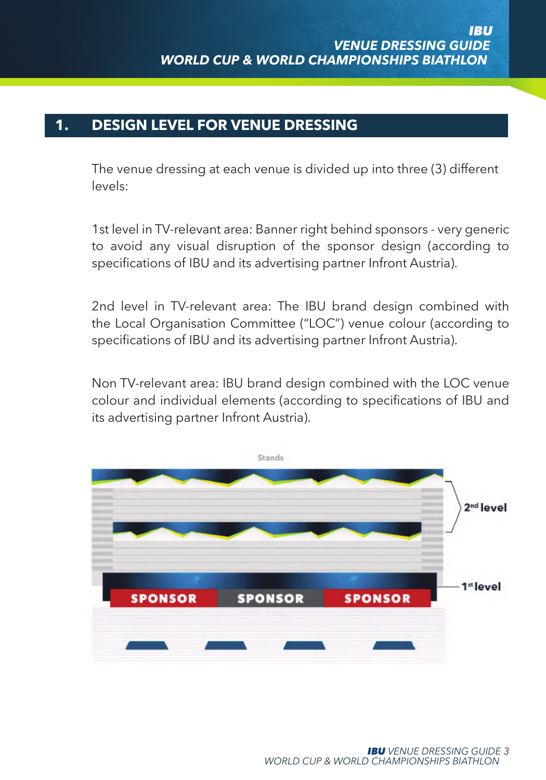### **1. DESIGN LEVEL FOR VENUE DRESSING**

The venue dressing at each venue is divided up into three (3) different levels:

1st level in TV-relevant area: Banner right behind sponsors - very generic to avoid any visual disruption of the sponsor design (according to specifications of IBU and its advertising partner Infront Austria).

2nd level in TV-relevant area: The IBU brand design combined with the Local Organisation Committee ("LOC") venue colour (according to specifications of IBU and its advertising partner Infront Austria).

Non TV-relevant area: IBU brand design combined with the LOC venue colour and individual elements (according to specifications of IBU and its advertising partner Infront Austria).

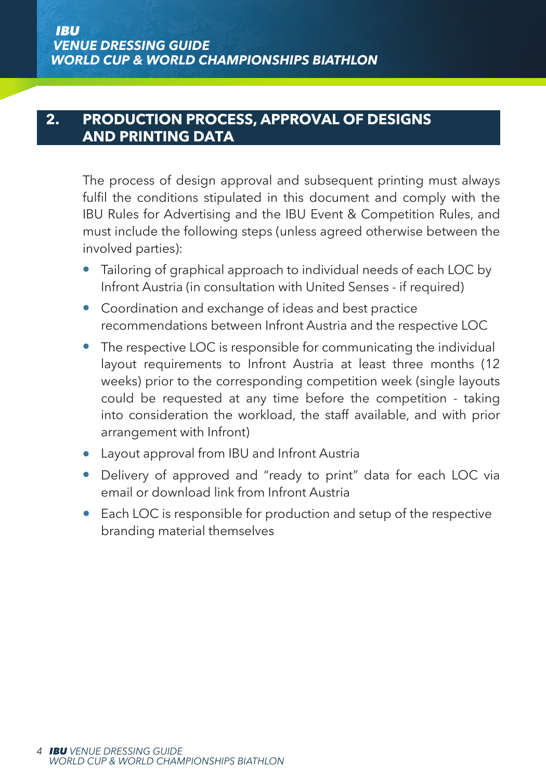### **2. PRODUCTION PROCESS, APPROVAL OF DESIGNS AND PRINTING DATA**

The process of design approval and subsequent printing must always fulfil the conditions stipulated in this document and comply with the IBU Rules for Advertising and the IBU Event & Competition Rules, and must include the following steps (unless agreed otherwise between the involved parties):

- Tailoring of graphical approach to individual needs of each LOC by Infront Austria (in consultation with United Senses - if required)
- Coordination and exchange of ideas and best practice recommendations between Infront Austria and the respective LOC
- The respective LOC is responsible for communicating the individual layout requirements to Infront Austria at least three months (12 weeks) prior to the corresponding competition week (single layouts could be requested at any time before the competition - taking into consideration the workload, the staff available, and with prior arrangement with Infront)
- Layout approval from IBU and Infront Austria
- Delivery of approved and "ready to print" data for each LOC via email or download link from Infront Austria
- Each LOC is responsible for production and setup of the respective branding material themselves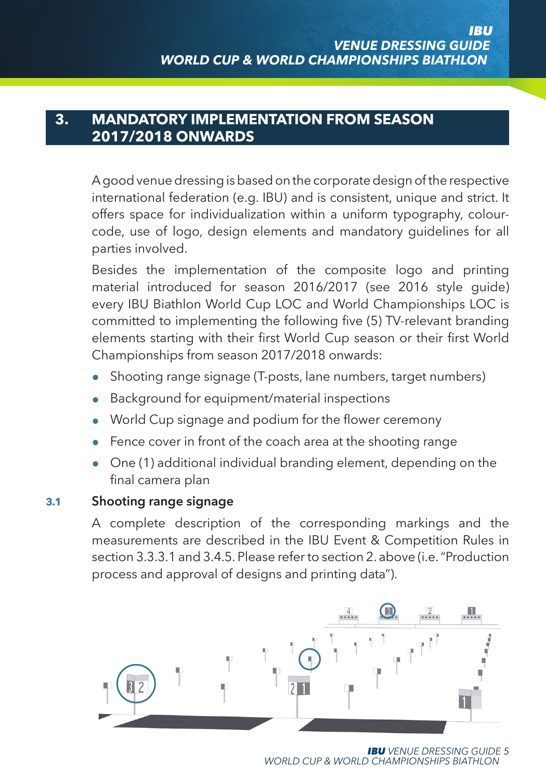### **3. MANDATORY IMPLEMENTATION FROM SEASON 2017/2018 ONWARDS**

A good venue dressing is based on the corporate design of the respective international federation (e.g. IBU) and is consistent, unique and strict. It offers space for individualization within a uniform typography, colourcode, use of logo, design elements and mandatory guidelines for all parties involved.

Besides the implementation of the composite logo and printing material introduced for season 2016/2017 (see 2016 style guide) every IBU Biathlon World Cup LOC and World Championships LOC is committed to implementing the following five (5) TV-relevant branding elements starting with their first World Cup season or their first World Championships from season 2017/2018 onwards:

- Shooting range signage (T-posts, lane numbers, target numbers)
- Background for equipment/material inspections
- World Cup signage and podium for the flower ceremony
- Fence cover in front of the coach area at the shooting range
- One (1) additional individual branding element, depending on the final camera plan

#### **3.1 Shooting range signage**

A complete description of the corresponding markings and the measurements are described in the IBU Event & Competition Rules in section 3.3.3.1 and 3.4.5. Please refer to section 2. above (i.e. "Production process and approval of designs and printing data").



*IBU VENUE DRESSING GUIDE 5 WORLD CUP & WORLD CHAMPIONSHIPS BIATHLON*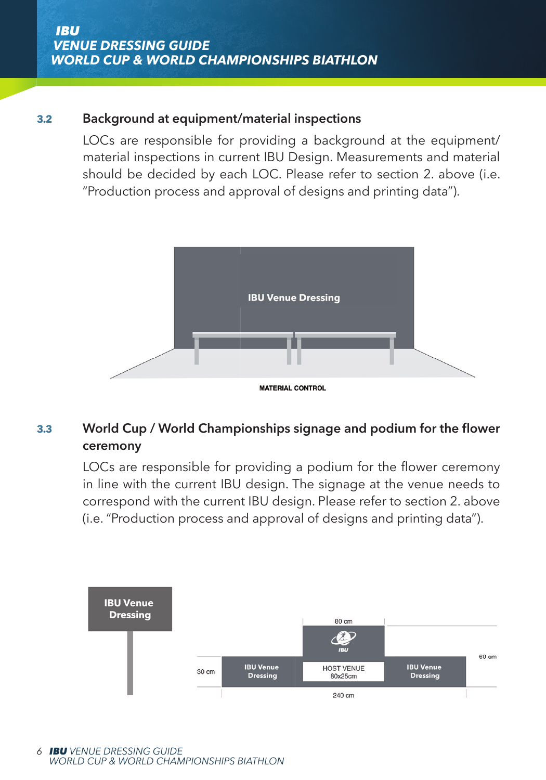### **3.2 Background at equipment/material inspections**

 LOCs are responsible for providing a background at the equipment/ material inspections in current IBU Design. Measurements and material should be decided by each LOC. Please refer to section 2. above (i.e. "Production process and approval of designs and printing data").



### **3.3 World Cup / World Championships signage and podium for the flower ceremony**

LOCs are responsible for providing a podium for the flower ceremony in line with the current IBU design. The signage at the venue needs to correspond with the current IBU design. Please refer to section 2. above (i.e. "Production process and approval of designs and printing data").

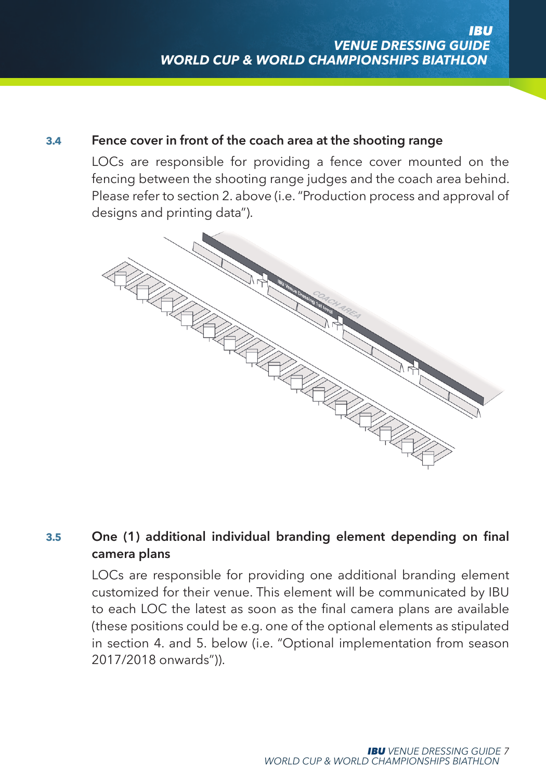#### **3.4 Fence cover in front of the coach area at the shooting range**

LOCs are responsible for providing a fence cover mounted on the fencing between the shooting range judges and the coach area behind. Please refer to section 2. above (i.e. "Production process and approval of designs and printing data").



### **3.5 One (1) additional individual branding element depending on final camera plans**

LOCs are responsible for providing one additional branding element customized for their venue. This element will be communicated by IBU to each LOC the latest as soon as the final camera plans are available (these positions could be e.g. one of the optional elements as stipulated in section 4. and 5. below (i.e. "Optional implementation from season 2017/2018 onwards")).